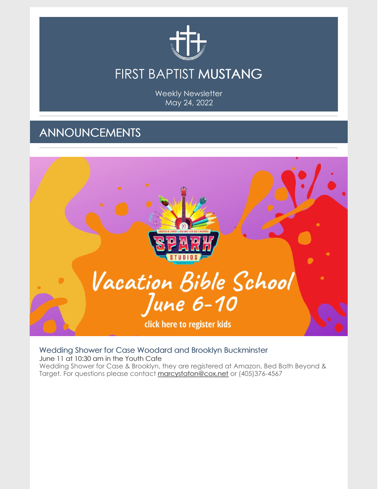

Weekly Newsletter May 24, 2022

## ANNOUNCEMENTS



#### Wedding Shower for Case Woodard and Brooklyn Buckminster

June 11 at 10:30 am in the Youth Cafe Wedding Shower for Case & Brooklyn, they are registered at Amazon, Bed Bath Beyond & Target. For questions please contact [marcystaton@cox.net](mailto:marcystaton@cox.net) or (405)376-4567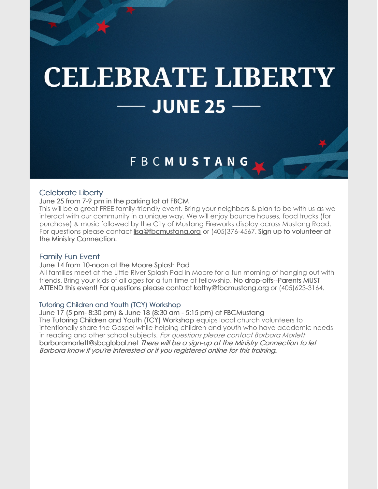# **CELEBRATE LIBERTY JUNE 25**

### **FBCMUSTANG**

#### Celebrate Liberty

June 25 from 7-9 pm in the parking lot at FBCM

This will be a great FREE family-friendly event. Bring your neighbors & plan to be with us as we interact with our community in a unique way. We will enjoy bounce houses, food trucks (for purchase) & music followed by the City of Mustang Fireworks display across Mustang Road. For questions please contact [lisa@fbcmustang.org](mailto:lisa@fbcmustang.org) or (405)376-4567. Sign up to volunteer at the Ministry Connection.

#### Family Fun Event

#### June 14 from 10-noon at the Moore Splash Pad

All families meet at the Little River Splash Pad in Moore for a fun morning of hanging out with friends. Bring your kids of all ages for a fun time of fellowship. No drop-offs--Parents MUST ATTEND this event! For questions please contact [kathy@fbcmustang.org](mailto:kathy@fbcmustang.org) or (405)623-3164.

#### Tutoring Children and Youth (TCY) Workshop

June 17 (5 pm- 8:30 pm) & June 18 (8:30 am - 5:15 pm) at FBCMustang The Tutoring Children and Youth (TCY) Workshop equips local church volunteers to intentionally share the Gospel while helping children and youth who have academic needs in reading and other school subjects. For questions please contact Barbara Marlett [barbaramarlett@sbcglobal.net](mailto:barbaramarlett@sbcglobal.net) There will be <sup>a</sup> sign-up at the Ministry Connection to let Barbara know if you're interested or if you registered online for this training.